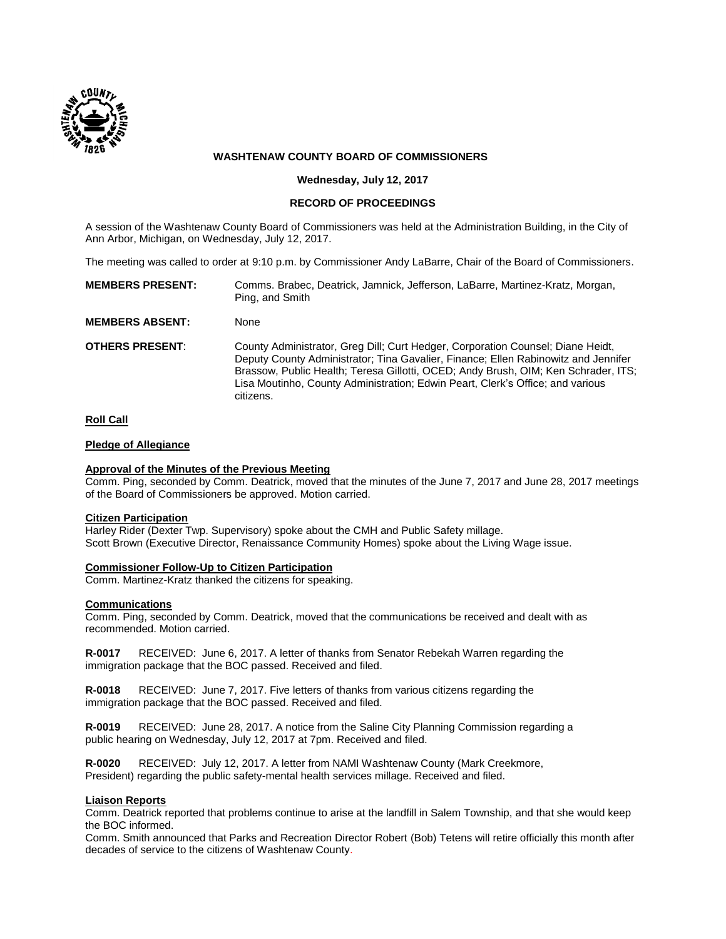

# **WASHTENAW COUNTY BOARD OF COMMISSIONERS**

**Wednesday, July 12, 2017**

## **RECORD OF PROCEEDINGS**

A session of the Washtenaw County Board of Commissioners was held at the Administration Building, in the City of Ann Arbor, Michigan, on Wednesday, July 12, 2017.

The meeting was called to order at 9:10 p.m. by Commissioner Andy LaBarre, Chair of the Board of Commissioners.

| <b>MEMBERS PRESENT:</b> | Comms. Brabec, Deatrick, Jamnick, Jefferson, LaBarre, Martinez-Kratz, Morgan,<br>Ping, and Smith                                                                                                                                                                                                                                                           |
|-------------------------|------------------------------------------------------------------------------------------------------------------------------------------------------------------------------------------------------------------------------------------------------------------------------------------------------------------------------------------------------------|
| <b>MEMBERS ABSENT:</b>  | None                                                                                                                                                                                                                                                                                                                                                       |
| <b>OTHERS PRESENT:</b>  | County Administrator, Greg Dill; Curt Hedger, Corporation Counsel; Diane Heidt,<br>Deputy County Administrator; Tina Gavalier, Finance; Ellen Rabinowitz and Jennifer<br>Brassow, Public Health: Teresa Gillotti, OCED: Andy Brush, OIM: Ken Schrader, ITS:<br>Lisa Moutinho, County Administration; Edwin Peart, Clerk's Office; and various<br>citizens. |

### **Roll Call**

### **Pledge of Allegiance**

### **Approval of the Minutes of the Previous Meeting**

Comm. Ping, seconded by Comm. Deatrick, moved that the minutes of the June 7, 2017 and June 28, 2017 meetings of the Board of Commissioners be approved. Motion carried.

#### **Citizen Participation**

Harley Rider (Dexter Twp. Supervisory) spoke about the CMH and Public Safety millage. Scott Brown (Executive Director, Renaissance Community Homes) spoke about the Living Wage issue.

# **Commissioner Follow-Up to Citizen Participation**

Comm. Martinez-Kratz thanked the citizens for speaking.

## **Communications**

Comm. Ping, seconded by Comm. Deatrick, moved that the communications be received and dealt with as recommended. Motion carried.

**R-0017** RECEIVED: June 6, 2017. A letter of thanks from Senator Rebekah Warren regarding the immigration package that the BOC passed. Received and filed.

**R-0018** RECEIVED: June 7, 2017. Five letters of thanks from various citizens regarding the immigration package that the BOC passed. Received and filed.

**R-0019** RECEIVED: June 28, 2017. A notice from the Saline City Planning Commission regarding a public hearing on Wednesday, July 12, 2017 at 7pm. Received and filed.

**R-0020** RECEIVED: July 12, 2017. A letter from NAMI Washtenaw County (Mark Creekmore, President) regarding the public safety-mental health services millage. Received and filed.

## **Liaison Reports**

Comm. Deatrick reported that problems continue to arise at the landfill in Salem Township, and that she would keep the BOC informed.

Comm. Smith announced that Parks and Recreation Director Robert (Bob) Tetens will retire officially this month after decades of service to the citizens of Washtenaw County.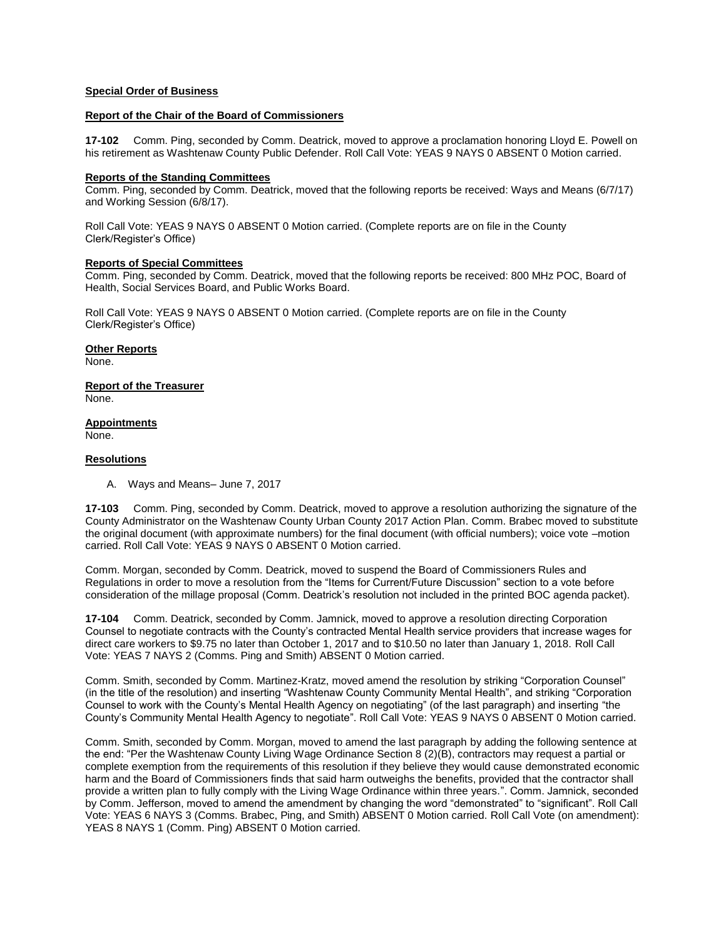## **Special Order of Business**

#### **Report of the Chair of the Board of Commissioners**

**17-102** Comm. Ping, seconded by Comm. Deatrick, moved to approve a proclamation honoring Lloyd E. Powell on his retirement as Washtenaw County Public Defender. Roll Call Vote: YEAS 9 NAYS 0 ABSENT 0 Motion carried.

#### **Reports of the Standing Committees**

Comm. Ping, seconded by Comm. Deatrick, moved that the following reports be received: Ways and Means (6/7/17) and Working Session (6/8/17).

Roll Call Vote: YEAS 9 NAYS 0 ABSENT 0 Motion carried. (Complete reports are on file in the County Clerk/Register's Office)

# **Reports of Special Committees**

Comm. Ping, seconded by Comm. Deatrick, moved that the following reports be received: 800 MHz POC, Board of Health, Social Services Board, and Public Works Board.

Roll Call Vote: YEAS 9 NAYS 0 ABSENT 0 Motion carried. (Complete reports are on file in the County Clerk/Register's Office)

**Other Reports** None.

**Report of the Treasurer** None.

**Appointments** None.

### **Resolutions**

A. Ways and Means– June 7, 2017

**17-103** Comm. Ping, seconded by Comm. Deatrick, moved to approve a resolution authorizing the signature of the County Administrator on the Washtenaw County Urban County 2017 Action Plan. Comm. Brabec moved to substitute the original document (with approximate numbers) for the final document (with official numbers); voice vote –motion carried. Roll Call Vote: YEAS 9 NAYS 0 ABSENT 0 Motion carried.

Comm. Morgan, seconded by Comm. Deatrick, moved to suspend the Board of Commissioners Rules and Regulations in order to move a resolution from the "Items for Current/Future Discussion" section to a vote before consideration of the millage proposal (Comm. Deatrick's resolution not included in the printed BOC agenda packet).

**17-104** Comm. Deatrick, seconded by Comm. Jamnick, moved to approve a resolution directing Corporation Counsel to negotiate contracts with the County's contracted Mental Health service providers that increase wages for direct care workers to \$9.75 no later than October 1, 2017 and to \$10.50 no later than January 1, 2018. Roll Call Vote: YEAS 7 NAYS 2 (Comms. Ping and Smith) ABSENT 0 Motion carried.

Comm. Smith, seconded by Comm. Martinez-Kratz, moved amend the resolution by striking "Corporation Counsel" (in the title of the resolution) and inserting "Washtenaw County Community Mental Health", and striking "Corporation Counsel to work with the County's Mental Health Agency on negotiating" (of the last paragraph) and inserting "the County's Community Mental Health Agency to negotiate". Roll Call Vote: YEAS 9 NAYS 0 ABSENT 0 Motion carried.

Comm. Smith, seconded by Comm. Morgan, moved to amend the last paragraph by adding the following sentence at the end: "Per the Washtenaw County Living Wage Ordinance Section 8 (2)(B), contractors may request a partial or complete exemption from the requirements of this resolution if they believe they would cause demonstrated economic harm and the Board of Commissioners finds that said harm outweighs the benefits, provided that the contractor shall provide a written plan to fully comply with the Living Wage Ordinance within three years.". Comm. Jamnick, seconded by Comm. Jefferson, moved to amend the amendment by changing the word "demonstrated" to "significant". Roll Call Vote: YEAS 6 NAYS 3 (Comms. Brabec, Ping, and Smith) ABSENT 0 Motion carried. Roll Call Vote (on amendment): YEAS 8 NAYS 1 (Comm. Ping) ABSENT 0 Motion carried.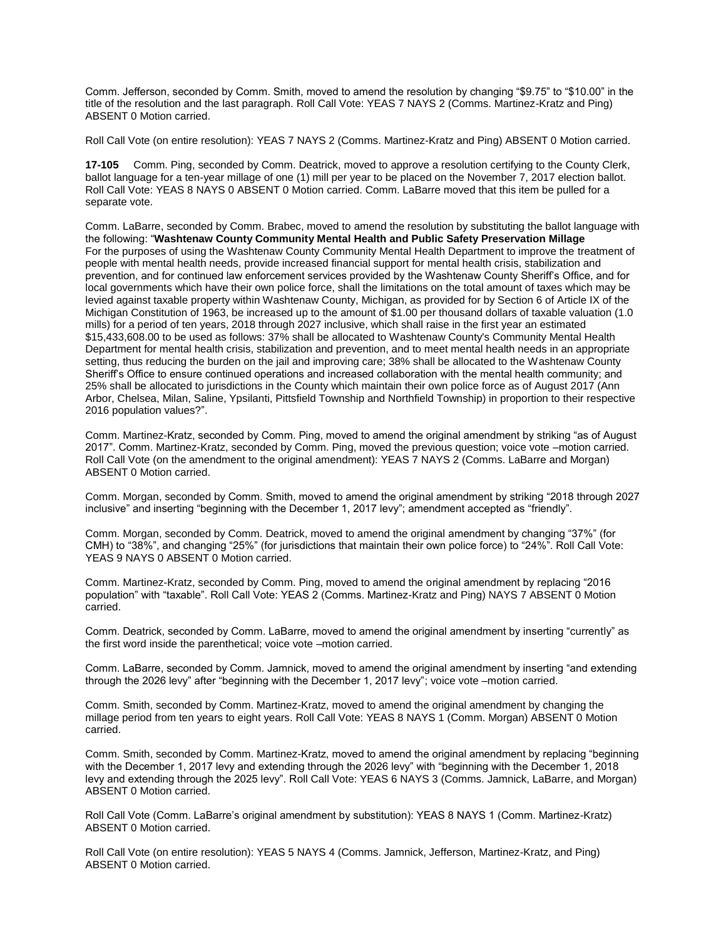Comm. Jefferson, seconded by Comm. Smith, moved to amend the resolution by changing "\$9.75" to "\$10.00" in the title of the resolution and the last paragraph. Roll Call Vote: YEAS 7 NAYS 2 (Comms. Martinez-Kratz and Ping) ABSENT 0 Motion carried.

Roll Call Vote (on entire resolution): YEAS 7 NAYS 2 (Comms. Martinez-Kratz and Ping) ABSENT 0 Motion carried.

**17-105** Comm. Ping, seconded by Comm. Deatrick, moved to approve a resolution certifying to the County Clerk, ballot language for a ten-year millage of one (1) mill per year to be placed on the November 7, 2017 election ballot. Roll Call Vote: YEAS 8 NAYS 0 ABSENT 0 Motion carried. Comm. LaBarre moved that this item be pulled for a separate vote.

Comm. LaBarre, seconded by Comm. Brabec, moved to amend the resolution by substituting the ballot language with the following: "**Washtenaw County Community Mental Health and Public Safety Preservation Millage**  For the purposes of using the Washtenaw County Community Mental Health Department to improve the treatment of people with mental health needs, provide increased financial support for mental health crisis, stabilization and prevention, and for continued law enforcement services provided by the Washtenaw County Sheriff's Office, and for local governments which have their own police force, shall the limitations on the total amount of taxes which may be levied against taxable property within Washtenaw County, Michigan, as provided for by Section 6 of Article IX of the Michigan Constitution of 1963, be increased up to the amount of \$1.00 per thousand dollars of taxable valuation (1.0 mills) for a period of ten years, 2018 through 2027 inclusive, which shall raise in the first year an estimated \$15,433,608.00 to be used as follows: 37% shall be allocated to Washtenaw County's Community Mental Health Department for mental health crisis, stabilization and prevention, and to meet mental health needs in an appropriate setting, thus reducing the burden on the jail and improving care; 38% shall be allocated to the Washtenaw County Sheriff's Office to ensure continued operations and increased collaboration with the mental health community; and 25% shall be allocated to jurisdictions in the County which maintain their own police force as of August 2017 (Ann Arbor, Chelsea, Milan, Saline, Ypsilanti, Pittsfield Township and Northfield Township) in proportion to their respective 2016 population values?".

Comm. Martinez-Kratz, seconded by Comm. Ping, moved to amend the original amendment by striking "as of August 2017". Comm. Martinez-Kratz, seconded by Comm. Ping, moved the previous question; voice vote –motion carried. Roll Call Vote (on the amendment to the original amendment): YEAS 7 NAYS 2 (Comms. LaBarre and Morgan) ABSENT 0 Motion carried.

Comm. Morgan, seconded by Comm. Smith, moved to amend the original amendment by striking "2018 through 2027 inclusive" and inserting "beginning with the December 1, 2017 levy"; amendment accepted as "friendly".

Comm. Morgan, seconded by Comm. Deatrick, moved to amend the original amendment by changing "37%" (for CMH) to "38%", and changing "25%" (for jurisdictions that maintain their own police force) to "24%". Roll Call Vote: YEAS 9 NAYS 0 ABSENT 0 Motion carried.

Comm. Martinez-Kratz, seconded by Comm. Ping, moved to amend the original amendment by replacing "2016 population" with "taxable". Roll Call Vote: YEAS 2 (Comms. Martinez-Kratz and Ping) NAYS 7 ABSENT 0 Motion carried.

Comm. Deatrick, seconded by Comm. LaBarre, moved to amend the original amendment by inserting "currently" as the first word inside the parenthetical; voice vote –motion carried.

Comm. LaBarre, seconded by Comm. Jamnick, moved to amend the original amendment by inserting "and extending through the 2026 levy" after "beginning with the December 1, 2017 levy"; voice vote –motion carried.

Comm. Smith, seconded by Comm. Martinez-Kratz, moved to amend the original amendment by changing the millage period from ten years to eight years. Roll Call Vote: YEAS 8 NAYS 1 (Comm. Morgan) ABSENT 0 Motion carried.

Comm. Smith, seconded by Comm. Martinez-Kratz, moved to amend the original amendment by replacing "beginning with the December 1, 2017 levy and extending through the 2026 levy" with "beginning with the December 1, 2018 levy and extending through the 2025 levy". Roll Call Vote: YEAS 6 NAYS 3 (Comms. Jamnick, LaBarre, and Morgan) ABSENT 0 Motion carried.

Roll Call Vote (Comm. LaBarre's original amendment by substitution): YEAS 8 NAYS 1 (Comm. Martinez-Kratz) ABSENT 0 Motion carried.

Roll Call Vote (on entire resolution): YEAS 5 NAYS 4 (Comms. Jamnick, Jefferson, Martinez-Kratz, and Ping) ABSENT 0 Motion carried.